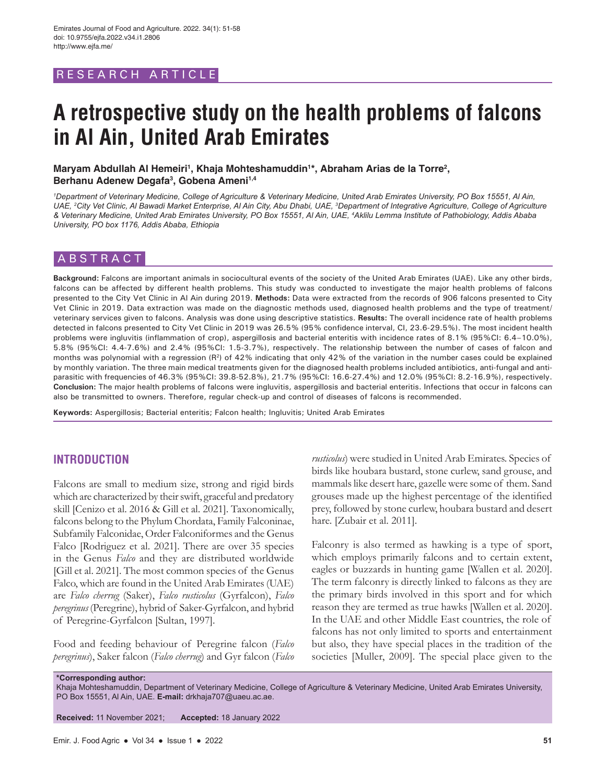# RESEARCH ARTICLE

# **A retrospective study on the health problems of falcons in Al Ain, United Arab Emirates**

Maryam Abdullah Al Hemeiri<sup>1</sup>, Khaja Mohteshamuddin<sup>1</sup>\*, Abraham Arias de la Torre<sup>2</sup>, **Berhanu Adenew Degafa3 , Gobena Ameni1,4**

*1 Department of Veterinary Medicine, College of Agriculture & Veterinary Medicine, United Arab Emirates University, PO Box 15551, Al Ain, UAE, 2 City Vet Clinic, Al Bawadi Market Enterprise, Al Ain City, Abu Dhabi, UAE, 3 Department of Integrative Agriculture, College of Agriculture & Veterinary Medicine, United Arab Emirates University, PO Box 15551, Al Ain, UAE, 4 Aklilu Lemma Institute of Pathobiology, Addis Ababa University, PO box 1176, Addis Ababa, Ethiopia*

## ABSTRACT

Background: Falcons are important animals in sociocultural events of the society of the United Arab Emirates (UAE). Like any other birds, falcons can be affected by different health problems. This study was conducted to investigate the major health problems of falcons presented to the City Vet Clinic in Al Ain during 2019. **Methods:** Data were extracted from the records of 906 falcons presented to City Vet Clinic in 2019. Data extraction was made on the diagnostic methods used, diagnosed health problems and the type of treatment/ veterinary services given to falcons. Analysis was done using descriptive statistics. **Results:** The overall incidence rate of health problems detected in falcons presented to City Vet Clinic in 2019 was 26.5% (95% confidence interval, CI, 23.6-29.5%). The most incident health problems were ingluvitis (inflammation of crop), aspergillosis and bacterial enteritis with incidence rates of 8.1% (95%CI: 6.4-10.0%), 5.8% (95%CI: 4.4-7.6%) and 2.4% (95%CI: 1.5-3.7%), respectively. The relationship between the number of cases of falcon and months was polynomial with a regression (R<sup>2</sup>) of 42% indicating that only 42% of the variation in the number cases could be explained by monthly variation. The three main medical treatments given for the diagnosed health problems included antibiotics, anti-fungal and antiparasitic with frequencies of 46.3% (95%CI: 39.8-52.8%), 21.7% (95%CI: 16.6-27.4%) and 12.0% (95%CI: 8.2-16.9%), respectively. **Conclusion:** The major health problems of falcons were ingluvitis, aspergillosis and bacterial enteritis. Infections that occur in falcons can also be transmitted to owners. Therefore, regular check-up and control of diseases of falcons is recommended.

**Keywords:** Aspergillosis; Bacterial enteritis; Falcon health; Ingluvitis; United Arab Emirates

#### **INTRODUCTION**

Falcons are small to medium size, strong and rigid birds which are characterized by their swift, graceful and predatory skill [Cenizo et al. 2016 & Gill et al. 2021]. Taxonomically, falcons belong to the Phylum Chordata, Family Falconinae, Subfamily Falconidae, Order Falconiformes and the Genus Falco [Rodriguez et al. 2021]. There are over 35 species in the Genus *Falco* and they are distributed worldwide [Gill et al. 2021]. The most common species of the Genus Falco, which are found in the United Arab Emirates (UAE) are *Falco cherrug* (Saker), *Falco rusticolus* (Gyrfalcon), *Falco peregrinus* (Peregrine), hybrid of Saker-Gyrfalcon, and hybrid of Peregrine-Gyrfalcon [Sultan, 1997].

Food and feeding behaviour of Peregrine falcon (*Falco peregrinus*), Saker falcon (*Falco cherrug*) and Gyr falcon (*Falco*  *rusticolus*) were studied in United Arab Emirates. Species of birds like houbara bustard, stone curlew, sand grouse, and mammals like desert hare, gazelle were some of them. Sand grouses made up the highest percentage of the identified prey, followed by stone curlew, houbara bustard and desert hare. [Zubair et al. 2011].

Falconry is also termed as hawking is a type of sport, which employs primarily falcons and to certain extent, eagles or buzzards in hunting game [Wallen et al. 2020]. The term falconry is directly linked to falcons as they are the primary birds involved in this sport and for which reason they are termed as true hawks [Wallen et al. 2020]. In the UAE and other Middle East countries, the role of falcons has not only limited to sports and entertainment but also, they have special places in the tradition of the societies [Muller, 2009]. The special place given to the

**\*Corresponding author:**

Khaja Mohteshamuddin, Department of Veterinary Medicine, College of Agriculture & Veterinary Medicine, United Arab Emirates University, PO Box 15551, Al Ain, UAE. **E-mail:** drkhaja707@uaeu.ac.ae.

**Received:** 11 November 2021; **Accepted:** 18 January 2022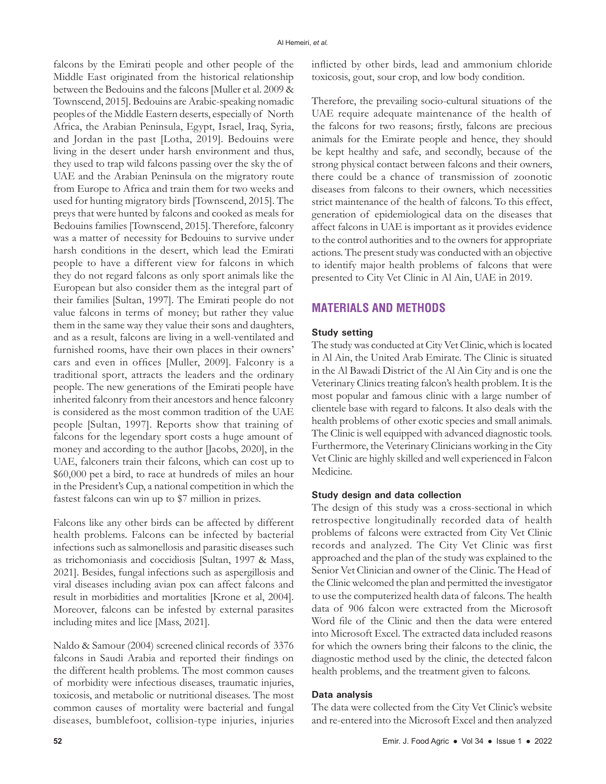falcons by the Emirati people and other people of the Middle East originated from the historical relationship between the Bedouins and the falcons [Muller et al. 2009 & Townscend, 2015]. Bedouins are Arabic-speaking nomadic peoples of the Middle Eastern deserts, especially of North Africa, the Arabian Peninsula, Egypt, Israel, Iraq, Syria, and Jordan in the past [Lotha, 2019]. Bedouins were living in the desert under harsh environment and thus, they used to trap wild falcons passing over the sky the of UAE and the Arabian Peninsula on the migratory route from Europe to Africa and train them for two weeks and used for hunting migratory birds [Townscend, 2015]. The preys that were hunted by falcons and cooked as meals for Bedouins families [Townscend, 2015]. Therefore, falconry was a matter of necessity for Bedouins to survive under harsh conditions in the desert, which lead the Emirati people to have a different view for falcons in which they do not regard falcons as only sport animals like the European but also consider them as the integral part of their families [Sultan, 1997]. The Emirati people do not value falcons in terms of money; but rather they value them in the same way they value their sons and daughters, and as a result, falcons are living in a well-ventilated and furnished rooms, have their own places in their owners' cars and even in offices [Muller, 2009]. Falconry is a traditional sport, attracts the leaders and the ordinary people. The new generations of the Emirati people have inherited falconry from their ancestors and hence falconry is considered as the most common tradition of the UAE people [Sultan, 1997]. Reports show that training of falcons for the legendary sport costs a huge amount of money and according to the author [Jacobs, 2020], in the UAE, falconers train their falcons, which can cost up to \$60,000 pet a bird, to race at hundreds of miles an hour in the President's Cup, a national competition in which the fastest falcons can win up to \$7 million in prizes.

Falcons like any other birds can be affected by different health problems. Falcons can be infected by bacterial infections such as salmonellosis and parasitic diseases such as trichomoniasis and coccidiosis [Sultan, 1997 & Mass, 2021]. Besides, fungal infections such as aspergillosis and viral diseases including avian pox can affect falcons and result in morbidities and mortalities [Krone et al, 2004]. Moreover, falcons can be infested by external parasites including mites and lice [Mass, 2021].

Naldo & Samour (2004) screened clinical records of 3376 falcons in Saudi Arabia and reported their findings on the different health problems. The most common causes of morbidity were infectious diseases, traumatic injuries, toxicosis, and metabolic or nutritional diseases. The most common causes of mortality were bacterial and fungal diseases, bumblefoot, collision-type injuries, injuries inflicted by other birds, lead and ammonium chloride toxicosis, gout, sour crop, and low body condition.

Therefore, the prevailing socio-cultural situations of the UAE require adequate maintenance of the health of the falcons for two reasons; firstly, falcons are precious animals for the Emirate people and hence, they should be kept healthy and safe, and secondly, because of the strong physical contact between falcons and their owners, there could be a chance of transmission of zoonotic diseases from falcons to their owners, which necessities strict maintenance of the health of falcons. To this effect, generation of epidemiological data on the diseases that affect falcons in UAE is important as it provides evidence to the control authorities and to the owners for appropriate actions. The present study was conducted with an objective to identify major health problems of falcons that were presented to City Vet Clinic in Al Ain, UAE in 2019.

## **MATERIALS AND METHODS**

#### **Study setting**

The study was conducted at City Vet Clinic, which is located in Al Ain, the United Arab Emirate. The Clinic is situated in the Al Bawadi District of the Al Ain City and is one the Veterinary Clinics treating falcon's health problem. It is the most popular and famous clinic with a large number of clientele base with regard to falcons. It also deals with the health problems of other exotic species and small animals. The Clinic is well equipped with advanced diagnostic tools. Furthermore, the Veterinary Clinicians working in the City Vet Clinic are highly skilled and well experienced in Falcon Medicine.

#### **Study design and data collection**

The design of this study was a cross-sectional in which retrospective longitudinally recorded data of health problems of falcons were extracted from City Vet Clinic records and analyzed. The City Vet Clinic was first approached and the plan of the study was explained to the Senior Vet Clinician and owner of the Clinic. The Head of the Clinic welcomed the plan and permitted the investigator to use the computerized health data of falcons. The health data of 906 falcon were extracted from the Microsoft Word file of the Clinic and then the data were entered into Microsoft Excel. The extracted data included reasons for which the owners bring their falcons to the clinic, the diagnostic method used by the clinic, the detected falcon health problems, and the treatment given to falcons.

#### **Data analysis**

The data were collected from the City Vet Clinic's website and re-entered into the Microsoft Excel and then analyzed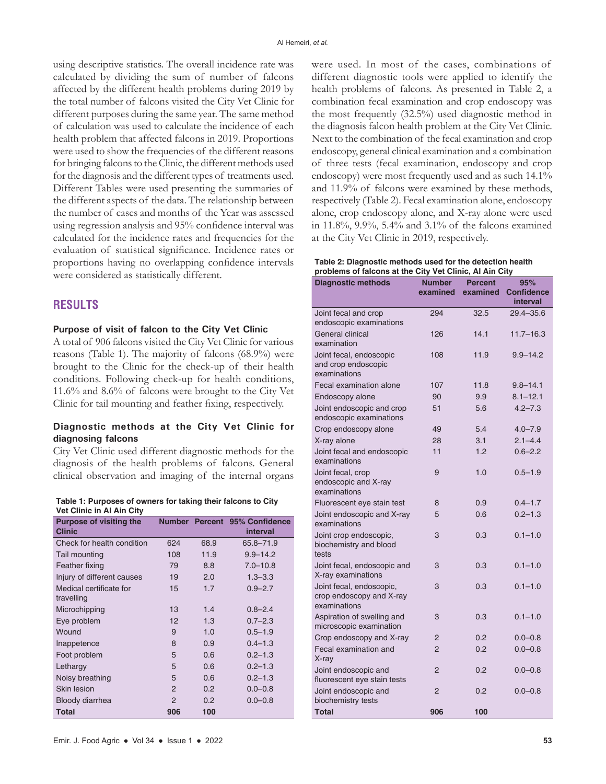using descriptive statistics. The overall incidence rate was calculated by dividing the sum of number of falcons affected by the different health problems during 2019 by the total number of falcons visited the City Vet Clinic for different purposes during the same year. The same method of calculation was used to calculate the incidence of each health problem that affected falcons in 2019. Proportions were used to show the frequencies of the different reasons for bringing falcons to the Clinic, the different methods used for the diagnosis and the different types of treatments used. Different Tables were used presenting the summaries of the different aspects of the data. The relationship between the number of cases and months of the Year was assessed using regression analysis and 95% confidence interval was calculated for the incidence rates and frequencies for the evaluation of statistical significance. Incidence rates or proportions having no overlapping confidence intervals were considered as statistically different.

# **RESULTS**

#### **Purpose of visit of falcon to the City Vet Clinic**

A total of 906 falcons visited the City Vet Clinic for various reasons (Table 1). The majority of falcons (68.9%) were brought to the Clinic for the check-up of their health conditions. Following check-up for health conditions, 11.6% and 8.6% of falcons were brought to the City Vet Clinic for tail mounting and feather fixing, respectively.

#### **Diagnostic methods at the City Vet Clinic for diagnosing falcons**

City Vet Clinic used different diagnostic methods for the diagnosis of the health problems of falcons. General clinical observation and imaging of the internal organs

**Table 1: Purposes of owners for taking their falcons to City Vet Clinic in Al Ain City**

| <b>Purpose of visiting the</b><br><b>Clinic</b> |     |      | Number Percent 95% Confidence<br>interval |
|-------------------------------------------------|-----|------|-------------------------------------------|
| Check for health condition                      | 624 | 68.9 | 65.8-71.9                                 |
| Tail mounting                                   | 108 | 11.9 | $9.9 - 14.2$                              |
| Feather fixing                                  | 79  | 8.8  | $7.0 - 10.8$                              |
| Injury of different causes                      | 19  | 2.0  | $1.3 - 3.3$                               |
| Medical certificate for                         | 15  | 1.7  | $0.9 - 2.7$                               |
| travelling                                      |     |      |                                           |
| Microchipping                                   | 13  | 1.4  | $0.8 - 2.4$                               |
| Eye problem                                     | 12  | 1.3  | $0.7 - 2.3$                               |
| Wound                                           | 9   | 1.0  | $0.5 - 1.9$                               |
| Inappetence                                     | 8   | 0.9  | $0.4 - 1.3$                               |
| Foot problem                                    | 5   | 0.6  | $0.2 - 1.3$                               |
| Lethargy                                        | 5   | 0.6  | $0.2 - 1.3$                               |
| Noisy breathing                                 | 5   | 0.6  | $0.2 - 1.3$                               |
| <b>Skin lesion</b>                              | 2   | 0.2  | $0.0 - 0.8$                               |
| Bloody diarrhea                                 | 2   | 0.2  | $0.0 - 0.8$                               |
| <b>Total</b>                                    | 906 | 100  |                                           |

were used. In most of the cases, combinations of different diagnostic tools were applied to identify the health problems of falcons. As presented in Table 2, a combination fecal examination and crop endoscopy was the most frequently (32.5%) used diagnostic method in the diagnosis falcon health problem at the City Vet Clinic. Next to the combination of the fecal examination and crop endoscopy, general clinical examination and a combination of three tests (fecal examination, endoscopy and crop endoscopy) were most frequently used and as such 14.1% and 11.9% of falcons were examined by these methods, respectively (Table 2). Fecal examination alone, endoscopy alone, crop endoscopy alone, and X-ray alone were used in 11.8%, 9.9%, 5.4% and 3.1% of the falcons examined at the City Vet Clinic in 2019, respectively.

| Table 2: Diagnostic methods used for the detection health |
|-----------------------------------------------------------|
| problems of falcons at the City Vet Clinic, Al Ain City   |

| <b>Diagnostic methods</b>                                            | <b>Number</b>  | <b>Percent</b> | 95%               |
|----------------------------------------------------------------------|----------------|----------------|-------------------|
|                                                                      | examined       | examined       | <b>Confidence</b> |
|                                                                      |                |                | interval          |
| Joint fecal and crop<br>endoscopic examinations                      | 294            | 32.5           | 29.4-35.6         |
| General clinical<br>examination                                      | 126            | 14.1           | $11.7 - 16.3$     |
| Joint fecal, endoscopic<br>and crop endoscopic<br>examinations       | 108            | 11.9           | $9.9 - 14.2$      |
| Fecal examination alone                                              | 107            | 11.8           | $9.8 - 14.1$      |
| Endoscopy alone                                                      | 90             | 9.9            | $8.1 - 12.1$      |
| Joint endoscopic and crop<br>endoscopic examinations                 | 51             | 5.6            | $4.2 - 7.3$       |
| Crop endoscopy alone                                                 | 49             | 5.4            | $4.0 - 7.9$       |
| X-ray alone                                                          | 28             | 3.1            | $2.1 - 4.4$       |
| Joint fecal and endoscopic<br>examinations                           | 11             | 1.2            | $0.6 - 2.2$       |
| Joint fecal, crop<br>endoscopic and X-ray<br>examinations            | 9              | 1.0            | $0.5 - 1.9$       |
| Fluorescent eye stain test                                           | 8              | 0.9            | $0.4 - 1.7$       |
| Joint endoscopic and X-ray<br>examinations                           | 5              | 0.6            | $0.2 - 1.3$       |
| Joint crop endoscopic,<br>biochemistry and blood<br>tests            | 3              | 0.3            | $0.1 - 1.0$       |
| Joint fecal, endoscopic and<br>X-ray examinations                    | 3              | 0.3            | $0.1 - 1.0$       |
| Joint fecal, endoscopic,<br>crop endoscopy and X-ray<br>examinations | 3              | 0.3            | $0.1 - 1.0$       |
| Aspiration of swelling and<br>microscopic examination                | 3              | 0.3            | $0.1 - 1.0$       |
| Crop endoscopy and X-ray                                             | $\overline{2}$ | 0.2            | $0.0 - 0.8$       |
| Fecal examination and<br>X-ray                                       | 2              | 0.2            | $0.0 - 0.8$       |
| Joint endoscopic and<br>fluorescent eye stain tests                  | $\overline{2}$ | 0.2            | $0.0 - 0.8$       |
| Joint endoscopic and<br>biochemistry tests                           | $\overline{2}$ | 0.2            | $0.0 - 0.8$       |
| <b>Total</b>                                                         | 906            | 100            |                   |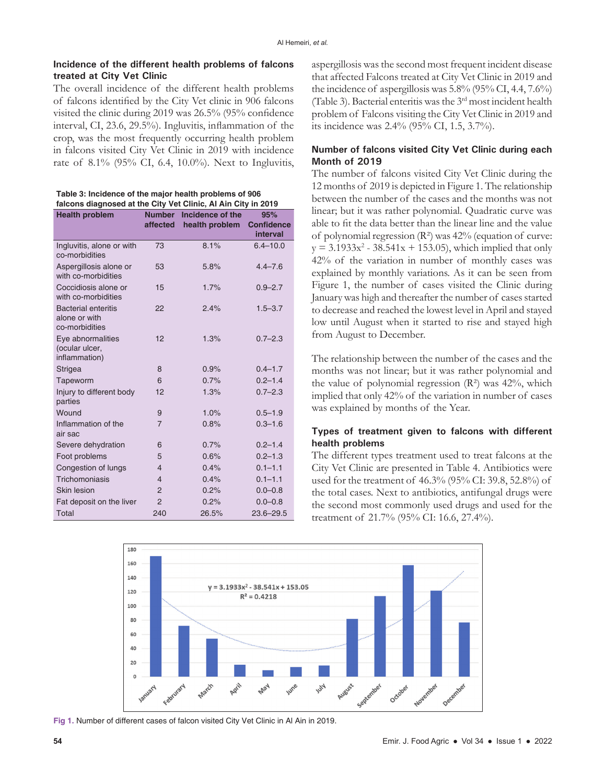#### **Incidence of the different health problems of falcons treated at City Vet Clinic**

The overall incidence of the different health problems of falcons identified by the City Vet clinic in 906 falcons visited the clinic during 2019 was 26.5% (95% confidence interval, CI, 23.6, 29.5%). Ingluvitis, inflammation of the crop, was the most frequently occurring health problem in falcons visited City Vet Clinic in 2019 with incidence rate of 8.1% (95% CI, 6.4, 10.0%). Next to Ingluvitis,

| Table 3: Incidence of the major health problems of 906        |
|---------------------------------------------------------------|
| falcons diagnosed at the City Vet Clinic, Al Ain City in 2019 |

| <b>Health problem</b>                                         | <b>Number</b><br>affected | Incidence of the<br>health problem | 95%<br><b>Confidence</b><br>interval |
|---------------------------------------------------------------|---------------------------|------------------------------------|--------------------------------------|
| Ingluvitis, alone or with<br>co-morbidities                   | 73                        | 8.1%                               | $6.4 - 10.0$                         |
| Aspergillosis alone or<br>with co-morbidities                 | 53                        | 5.8%                               | $4.4 - 7.6$                          |
| Coccidiosis alone or<br>with co-morbidities                   | 15                        | 1.7%                               | $0.9 - 2.7$                          |
| <b>Bacterial enteritis</b><br>alone or with<br>co-morbidities | 22                        | 2.4%                               | $1.5 - 3.7$                          |
| Eye abnormalities<br>(ocular ulcer,<br>inflammation)          | 12                        | 1.3%                               | $0.7 - 2.3$                          |
| <b>Strigea</b>                                                | 8                         | 0.9%                               | $0.4 - 1.7$                          |
| Tapeworm                                                      | 6                         | 0.7%                               | $0.2 - 1.4$                          |
| Injury to different body<br>parties                           | 12                        | 1.3%                               | $0.7 - 2.3$                          |
| Wound                                                         | 9                         | 1.0%                               | $0.5 - 1.9$                          |
| Inflammation of the<br>air sac                                | $\overline{7}$            | 0.8%                               | $0.3 - 1.6$                          |
| Severe dehydration                                            | 6                         | 0.7%                               | $0.2 - 1.4$                          |
| Foot problems                                                 | 5                         | 0.6%                               | $0.2 - 1.3$                          |
| Congestion of lungs                                           | $\overline{4}$            | 0.4%                               | $0.1 - 1.1$                          |
| Trichomoniasis                                                | $\overline{4}$            | 0.4%                               | $0.1 - 1.1$                          |
| Skin lesion                                                   | $\overline{2}$            | 0.2%                               | $0.0 - 0.8$                          |
| Fat deposit on the liver                                      | 2                         | 0.2%                               | $0.0 - 0.8$                          |
| Total                                                         | 240                       | 26.5%                              | $23.6 - 29.5$                        |

aspergillosis was the second most frequent incident disease that affected Falcons treated at City Vet Clinic in 2019 and the incidence of aspergillosis was 5.8% (95% CI, 4.4, 7.6%) (Table 3). Bacterial enteritis was the 3rd most incident health problem of Falcons visiting the City Vet Clinic in 2019 and its incidence was 2.4% (95% CI, 1.5, 3.7%).

## **Number of falcons visited City Vet Clinic during each Month of 2019**

The number of falcons visited City Vet Clinic during the 12 months of 2019 is depicted in Figure 1. The relationship between the number of the cases and the months was not linear; but it was rather polynomial. Quadratic curve was able to fit the data better than the linear line and the value of polynomial regression  $(R^2)$  was  $42\%$  (equation of curve:  $y = 3.1933x^{2} - 38.541x + 153.05$ , which implied that only 42% of the variation in number of monthly cases was explained by monthly variations. As it can be seen from Figure 1, the number of cases visited the Clinic during January was high and thereafter the number of cases started to decrease and reached the lowest level in April and stayed low until August when it started to rise and stayed high from August to December.

The relationship between the number of the cases and the months was not linear; but it was rather polynomial and the value of polynomial regression  $(R<sup>2</sup>)$  was  $42\%$ , which implied that only 42% of the variation in number of cases was explained by months of the Year.

## **Types of treatment given to falcons with different health problems**

The different types treatment used to treat falcons at the City Vet Clinic are presented in Table 4. Antibiotics were used for the treatment of 46.3% (95% CI: 39.8, 52.8%) of the total cases. Next to antibiotics, antifungal drugs were the second most commonly used drugs and used for the treatment of 21.7% (95% CI: 16.6, 27.4%).



**Fig 1.** Number of different cases of falcon visited City Vet Clinic in Al Ain in 2019.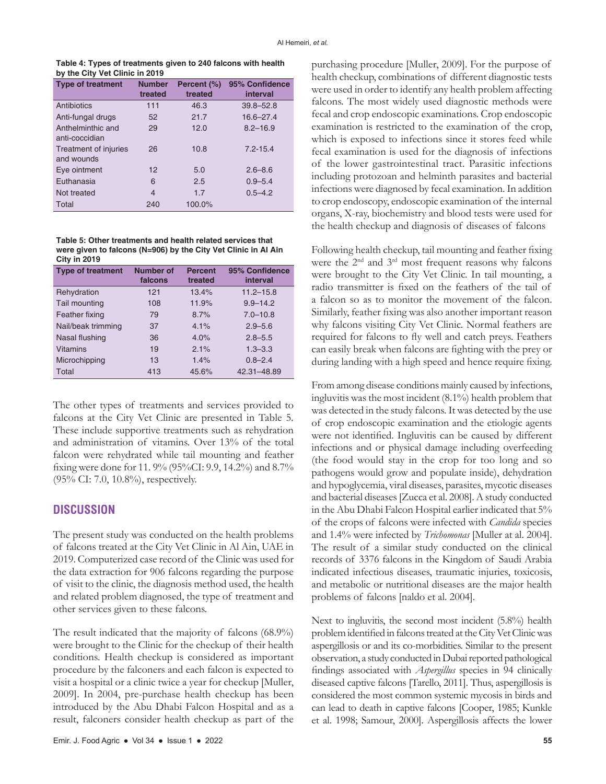**Table 4: Types of treatments given to 240 falcons with health by the City Vet Clinic in 2019** 

| <b>Type of treatment</b>            | <b>Number</b><br>treated | Percent (%)<br>treated | 95% Confidence<br>interval |
|-------------------------------------|--------------------------|------------------------|----------------------------|
| Antibiotics                         | 111                      | 46.3                   | $39.8 - 52.8$              |
| Anti-fungal drugs                   | 52                       | 21.7                   | $16.6 - 27.4$              |
| Anthelminthic and<br>anti-coccidian | 29                       | 12.0                   | $8.2 - 16.9$               |
| Treatment of injuries<br>and wounds | 26                       | 10.8                   | $7.2 - 15.4$               |
| Eye ointment                        | 12                       | 5.0                    | $2.6 - 8.6$                |
| Euthanasia                          | 6                        | 2.5                    | $0.9 - 5.4$                |
| Not treated                         | $\overline{4}$           | 1.7                    | $0.5 - 4.2$                |
| Total                               | 240                      | 100.0%                 |                            |

**Table 5: Other treatments and health related services that were given to falcons (N=906) by the City Vet Clinic in Al Ain City in 2019**

| <b>Type of treatment</b> | Number of<br>falcons | <b>Percent</b><br>treated | 95% Confidence<br>interval |
|--------------------------|----------------------|---------------------------|----------------------------|
| Rehydration              | 121                  | 13.4%                     | $11.2 - 15.8$              |
| Tail mounting            | 108                  | 11.9%                     | $9.9 - 14.2$               |
| Feather fixing           | 79                   | 8.7%                      | $7.0 - 10.8$               |
| Nail/beak trimming       | 37                   | 4.1%                      | $2.9 - 5.6$                |
| Nasal flushing           | 36                   | 4.0%                      | $2.8 - 5.5$                |
| Vitamins                 | 19                   | 2.1%                      | $1.3 - 3.3$                |
| Microchipping            | 13                   | 1.4%                      | $0.8 - 2.4$                |
| Total                    | 413                  | 45.6%                     | 42.31-48.89                |

The other types of treatments and services provided to falcons at the City Vet Clinic are presented in Table 5. These include supportive treatments such as rehydration and administration of vitamins. Over 13% of the total falcon were rehydrated while tail mounting and feather fixing were done for 11. 9% (95%CI: 9.9, 14.2%) and 8.7% (95% CI: 7.0, 10.8%), respectively.

#### **DISCUSSION**

The present study was conducted on the health problems of falcons treated at the City Vet Clinic in Al Ain, UAE in 2019. Computerized case record of the Clinic was used for the data extraction for 906 falcons regarding the purpose of visit to the clinic, the diagnosis method used, the health and related problem diagnosed, the type of treatment and other services given to these falcons.

The result indicated that the majority of falcons (68.9%) were brought to the Clinic for the checkup of their health conditions. Health checkup is considered as important procedure by the falconers and each falcon is expected to visit a hospital or a clinic twice a year for checkup [Muller, 2009]. In 2004, pre-purchase health checkup has been introduced by the Abu Dhabi Falcon Hospital and as a result, falconers consider health checkup as part of the purchasing procedure [Muller, 2009]. For the purpose of health checkup, combinations of different diagnostic tests were used in order to identify any health problem affecting falcons. The most widely used diagnostic methods were fecal and crop endoscopic examinations. Crop endoscopic examination is restricted to the examination of the crop, which is exposed to infections since it stores feed while fecal examination is used for the diagnosis of infections of the lower gastrointestinal tract. Parasitic infections including protozoan and helminth parasites and bacterial infections were diagnosed by fecal examination. In addition to crop endoscopy, endoscopic examination of the internal organs, X-ray, biochemistry and blood tests were used for the health checkup and diagnosis of diseases of falcons

Following health checkup, tail mounting and feather fixing were the 2<sup>nd</sup> and 3<sup>rd</sup> most frequent reasons why falcons were brought to the City Vet Clinic. In tail mounting, a radio transmitter is fixed on the feathers of the tail of a falcon so as to monitor the movement of the falcon. Similarly, feather fixing was also another important reason why falcons visiting City Vet Clinic. Normal feathers are required for falcons to fly well and catch preys. Feathers can easily break when falcons are fighting with the prey or during landing with a high speed and hence require fixing.

From among disease conditions mainly caused by infections, ingluvitis was the most incident (8.1%) health problem that was detected in the study falcons. It was detected by the use of crop endoscopic examination and the etiologic agents were not identified. Ingluvitis can be caused by different infections and or physical damage including overfeeding (the food would stay in the crop for too long and so pathogens would grow and populate inside), dehydration and hypoglycemia, viral diseases, parasites, mycotic diseases and bacterial diseases [Zucca et al. 2008]. A study conducted in the Abu Dhabi Falcon Hospital earlier indicated that 5% of the crops of falcons were infected with *Candida* species and 1.4% were infected by *Trichomonas* [Muller at al. 2004]. The result of a similar study conducted on the clinical records of 3376 falcons in the Kingdom of Saudi Arabia indicated infectious diseases, traumatic injuries, toxicosis, and metabolic or nutritional diseases are the major health problems of falcons [naldo et al. 2004].

Next to ingluvitis, the second most incident (5.8%) health problem identified in falcons treated at the City Vet Clinic was aspergillosis or and its co-morbidities. Similar to the present observation, a study conducted in Dubai reported pathological findings associated with *Aspergillus* species in 94 clinically diseased captive falcons [Tarello, 2011]. Thus, aspergillosis is considered the most common systemic mycosis in birds and can lead to death in captive falcons [Cooper, 1985; Kunkle et al. 1998; Samour, 2000]. Aspergillosis affects the lower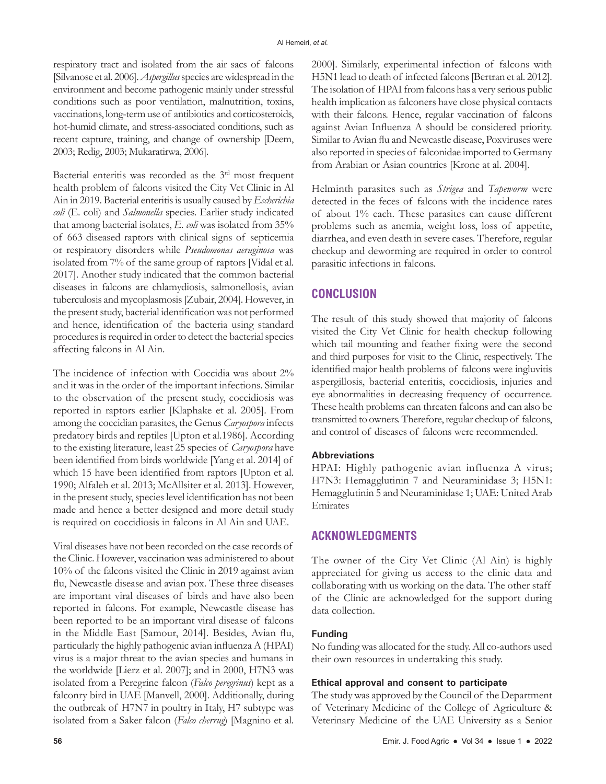respiratory tract and isolated from the air sacs of falcons [Silvanose et al. 2006]. *Aspergillus* species are widespread in the environment and become pathogenic mainly under stressful conditions such as poor ventilation, malnutrition, toxins, vaccinations, long-term use of antibiotics and corticosteroids, hot-humid climate, and stress-associated conditions, such as recent capture, training, and change of ownership [Deem, 2003; Redig, 2003; Mukaratirwa, 2006].

Bacterial enteritis was recorded as the 3<sup>rd</sup> most frequent health problem of falcons visited the City Vet Clinic in Al Ain in 2019. Bacterial enteritis is usually caused by *Escherichia coli* (E. coli) and *Salmonella* species. Earlier study indicated that among bacterial isolates, *E. coli* was isolated from 35% of 663 diseased raptors with clinical signs of septicemia or respiratory disorders while *Pseudomonas aeruginosa* was isolated from 7% of the same group of raptors [Vidal et al. 2017]. Another study indicated that the common bacterial diseases in falcons are chlamydiosis, salmonellosis, avian tuberculosis and mycoplasmosis [Zubair, 2004]. However, in the present study, bacterial identification was not performed and hence, identification of the bacteria using standard procedures is required in order to detect the bacterial species affecting falcons in Al Ain.

The incidence of infection with Coccidia was about 2% and it was in the order of the important infections. Similar to the observation of the present study, coccidiosis was reported in raptors earlier [Klaphake et al. 2005]. From among the coccidian parasites, the Genus *Caryospora* infects predatory birds and reptiles [Upton et al.1986]. According to the existing literature, least 25 species of *Caryospora* have been identified from birds worldwide [Yang et al. 2014] of which 15 have been identified from raptors [Upton et al. 1990; Alfaleh et al. 2013; McAllsiter et al. 2013]. However, in the present study, species level identification has not been made and hence a better designed and more detail study is required on coccidiosis in falcons in Al Ain and UAE.

Viral diseases have not been recorded on the case records of the Clinic. However, vaccination was administered to about 10% of the falcons visited the Clinic in 2019 against avian flu, Newcastle disease and avian pox. These three diseases are important viral diseases of birds and have also been reported in falcons. For example, Newcastle disease has been reported to be an important viral disease of falcons in the Middle East [Samour, 2014]. Besides, Avian flu, particularly the highly pathogenic avian influenza A (HPAI) virus is a major threat to the avian species and humans in the worldwide [Lierz et al. 2007]; and in 2000, H7N3 was isolated from a Peregrine falcon (*Falco peregrinus*) kept as a falconry bird in UAE [Manvell, 2000]. Additionally, during the outbreak of H7N7 in poultry in Italy, H7 subtype was isolated from a Saker falcon (*Falco cherrug*) [Magnino et al.

2000]. Similarly, experimental infection of falcons with H5N1 lead to death of infected falcons [Bertran et al. 2012]. The isolation of HPAI from falcons has a very serious public health implication as falconers have close physical contacts with their falcons. Hence, regular vaccination of falcons against Avian Influenza A should be considered priority. Similar to Avian flu and Newcastle disease, Poxviruses were also reported in species of falconidae imported to Germany from Arabian or Asian countries [Krone at al. 2004].

Helminth parasites such as *Strigea* and *Tapeworm* were detected in the feces of falcons with the incidence rates of about 1% each. These parasites can cause different problems such as anemia, weight loss, loss of appetite, diarrhea, and even death in severe cases. Therefore, regular checkup and deworming are required in order to control parasitic infections in falcons.

# **CONCLUSION**

The result of this study showed that majority of falcons visited the City Vet Clinic for health checkup following which tail mounting and feather fixing were the second and third purposes for visit to the Clinic, respectively. The identified major health problems of falcons were ingluvitis aspergillosis, bacterial enteritis, coccidiosis, injuries and eye abnormalities in decreasing frequency of occurrence. These health problems can threaten falcons and can also be transmitted to owners. Therefore, regular checkup of falcons, and control of diseases of falcons were recommended.

## **Abbreviations**

HPAI: Highly pathogenic avian influenza A virus; H7N3: Hemagglutinin 7 and Neuraminidase 3; H5N1: Hemagglutinin 5 and Neuraminidase 1; UAE: United Arab Emirates

# **ACKNOWLEDGMENTS**

The owner of the City Vet Clinic (Al Ain) is highly appreciated for giving us access to the clinic data and collaborating with us working on the data. The other staff of the Clinic are acknowledged for the support during data collection.

#### **Funding**

No funding was allocated for the study. All co-authors used their own resources in undertaking this study.

#### **Ethical approval and consent to participate**

The study was approved by the Council of the Department of Veterinary Medicine of the College of Agriculture & Veterinary Medicine of the UAE University as a Senior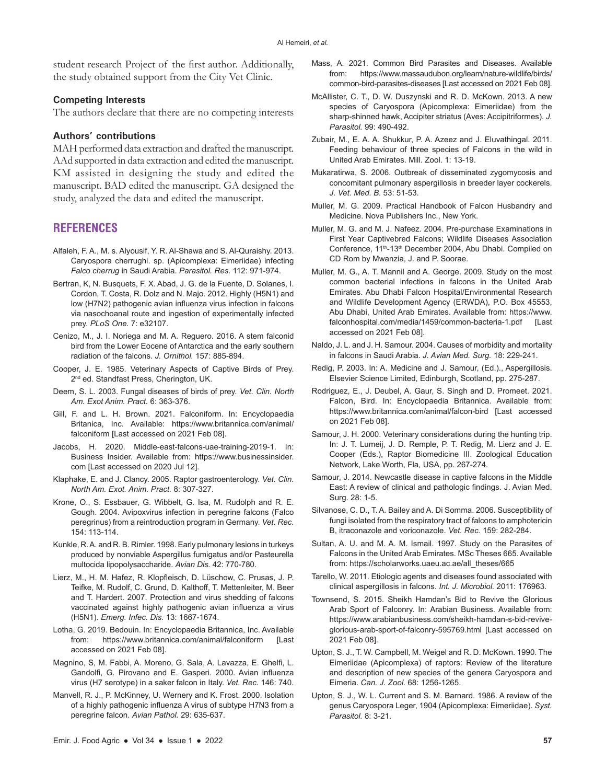student research Project of the first author. Additionally, the study obtained support from the City Vet Clinic.

#### **Competing Interests**

The authors declare that there are no competing interests

#### **Authors' contributions**

MAH performed data extraction and drafted the manuscript. AAd supported in data extraction and edited the manuscript. KM assisted in designing the study and edited the manuscript. BAD edited the manuscript. GA designed the study, analyzed the data and edited the manuscript.

# **REFERENCES**

- Alfaleh, F. A., M. s. Alyousif, Y. R. Al-Shawa and S. Al-Quraishy. 2013. Caryospora cherrughi. sp. (Apicomplexa: Eimeriidae) infecting *Falco cherrug* in Saudi Arabia. *Parasitol. Res.* 112: 971-974.
- Bertran, K, N. Busquets, F. X. Abad, J. G. de la Fuente, D. Solanes, I. Cordon, T. Costa, R. Dolz and N. Majo. 2012. Highly (H5N1) and low (H7N2) pathogenic avian influenza virus infection in falcons via nasochoanal route and ingestion of experimentally infected prey. *PLoS One.* 7: e32107.
- Cenizo, M., J. I. Noriega and M. A. Reguero. 2016. A stem falconid bird from the Lower Eocene of Antarctica and the early southern radiation of the falcons. *J. Ornithol.* 157: 885-894.
- Cooper, J. E. 1985. Veterinary Aspects of Captive Birds of Prey. 2<sup>nd</sup> ed. Standfast Press, Cherington, UK.
- Deem, S. L. 2003. Fungal diseases of birds of prey. *Vet. Clin. North Am. Exot Anim. Pract.* 6: 363-376.
- Gill, F. and L. H. Brown. 2021. Falconiform. In: Encyclopaedia Britanica, Inc. Available: https://www.britannica.com/animal/ falconiform [Last accessed on 2021 Feb 08].
- Jacobs, H. 2020. Middle-east-falcons-uae-training-2019-1. In: Business Insider. Available from: https://www.businessinsider. com [Last accessed on 2020 Jul 12].
- Klaphake, E. and J. Clancy. 2005. Raptor gastroenterology. *Vet. Clin. North Am. Exot. Anim. Pract.* 8: 307-327.
- Krone, O., S. Essbauer, G. Wibbelt, G. Isa, M. Rudolph and R. E. Gough. 2004. Avipoxvirus infection in peregrine falcons (Falco peregrinus) from a reintroduction program in Germany. *Vet. Rec.*  154: 113-114.
- Kunkle, R. A. and R. B. Rimler. 1998. Early pulmonary lesions in turkeys produced by nonviable Aspergillus fumigatus and/or Pasteurella multocida lipopolysaccharide. *Avian Dis.* 42: 770-780.
- Lierz, M., H. M. Hafez, R. Klopfleisch, D. Lüschow, C. Prusas, J. P. Teifke, M. Rudolf, C. Grund, D. Kalthoff, T. Mettenleiter, M. Beer and T. Hardert. 2007. Protection and virus shedding of falcons vaccinated against highly pathogenic avian influenza a virus (H5N1). *Emerg. Infec. Dis.* 13: 1667-1674.
- Lotha, G. 2019. Bedouin. In: Encyclopaedia Britannica, Inc. Available from: https://www.britannica.com/animal/falconiform [Last accessed on 2021 Feb 08].
- Magnino, S, M. Fabbi, A. Moreno, G. Sala, A. Lavazza, E. Ghelfi, L. Gandolfi, G. Pirovano and E. Gasperi. 2000. Avian influenza virus (H7 serotype) in a saker falcon in Italy. *Vet. Rec.* 146: 740.
- Manvell, R. J., P. McKinney, U. Wernery and K. Frost. 2000. Isolation of a highly pathogenic influenza A virus of subtype H7N3 from a peregrine falcon. *Avian Pathol.* 29: 635-637.
- Mass, A. 2021. Common Bird Parasites and Diseases. Available from: https://www.massaudubon.org/learn/nature-wildlife/birds/ common-bird-parasites-diseases [Last accessed on 2021 Feb 08].
- McAllister, C. T., D. W. Duszynski and R. D. McKown. 2013. A new species of Caryospora (Apicomplexa: Eimeriidae) from the sharp-shinned hawk, Accipiter striatus (Aves: Accipitriformes). *J. Parasitol.* 99: 490-492.
- Zubair, M., E. A. A. Shukkur, P. A. Azeez and J. Eluvathingal. 2011. Feeding behaviour of three species of Falcons in the wild in United Arab Emirates. Mill. Zool. 1: 13-19.
- Mukaratirwa, S. 2006. Outbreak of disseminated zygomycosis and concomitant pulmonary aspergillosis in breeder layer cockerels. *J. Vet. Med. B.* 53: 51-53.
- Muller, M. G. 2009. Practical Handbook of Falcon Husbandry and Medicine. Nova Publishers Inc., New York.
- Muller, M. G. and M. J. Nafeez. 2004. Pre-purchase Examinations in First Year Captivebred Falcons; Wildlife Diseases Association Conference, 11th-13th December 2004, Abu Dhabi. Compiled on CD Rom by Mwanzia, J. and P. Soorae.
- Muller, M. G., A. T. Mannil and A. George. 2009. Study on the most common bacterial infections in falcons in the United Arab Emirates. Abu Dhabi Falcon Hospital/Environmental Research and Wildlife Development Agency (ERWDA), P.O. Box 45553, Abu Dhabi, United Arab Emirates. Available from: https://www. falconhospital.com/media/1459/common-bacteria-1.pdf [Last accessed on 2021 Feb 08].
- Naldo, J. L. and J. H. Samour. 2004. Causes of morbidity and mortality in falcons in Saudi Arabia. *J. Avian Med. Surg.* 18: 229-241.
- Redig, P. 2003. In: A. Medicine and J. Samour, (Ed.)., Aspergillosis. Elsevier Science Limited, Edinburgh, Scotland, pp. 275-287.
- Rodriguez, E., J. Deubel, A. Gaur, S. Singh and D. Promeet. 2021. Falcon, Bird. In: Encyclopaedia Britannica. Available from: https://www.britannica.com/animal/falcon-bird [Last accessed on 2021 Feb 08].
- Samour, J. H. 2000. Veterinary considerations during the hunting trip. In: J. T. Lumeij, J. D. Remple, P. T. Redig, M. Lierz and J. E. Cooper (Eds.), Raptor Biomedicine III. Zoological Education Network, Lake Worth, Fla, USA, pp. 267-274.
- Samour, J. 2014. Newcastle disease in captive falcons in the Middle East: A review of clinical and pathologic findings. J. Avian Med. Surg. 28: 1-5.
- Silvanose, C. D., T. A. Bailey and A. Di Somma. 2006. Susceptibility of fungi isolated from the respiratory tract of falcons to amphotericin B, itraconazole and voriconazole. *Vet. Rec.* 159: 282-284.
- Sultan, A. U. and M. A. M. Ismail. 1997. Study on the Parasites of Falcons in the United Arab Emirates. MSc Theses 665. Available from: https://scholarworks.uaeu.ac.ae/all\_theses/665
- Tarello, W. 2011. Etiologic agents and diseases found associated with clinical aspergillosis in falcons. *Int. J. Microbiol.* 2011: 176963.
- Townsend, S. 2015. Sheikh Hamdan's Bid to Revive the Glorious Arab Sport of Falconry. In: Arabian Business. Available from: https://www.arabianbusiness.com/sheikh-hamdan-s-bid-reviveglorious-arab-sport-of-falconry-595769.html [Last accessed on 2021 Feb 08].
- Upton, S. J., T. W. Campbell, M. Weigel and R. D. McKown. 1990. The Eimeriidae (Apicomplexa) of raptors: Review of the literature and description of new species of the genera Caryospora and Eimeria. *Can. J. Zool.* 68: 1256-1265.
- Upton, S. J., W. L. Current and S. M. Barnard. 1986. A review of the genus Caryospora Leger, 1904 (Apicomplexa: Eimeriidae). *Syst. Parasitol.* 8: 3-21.